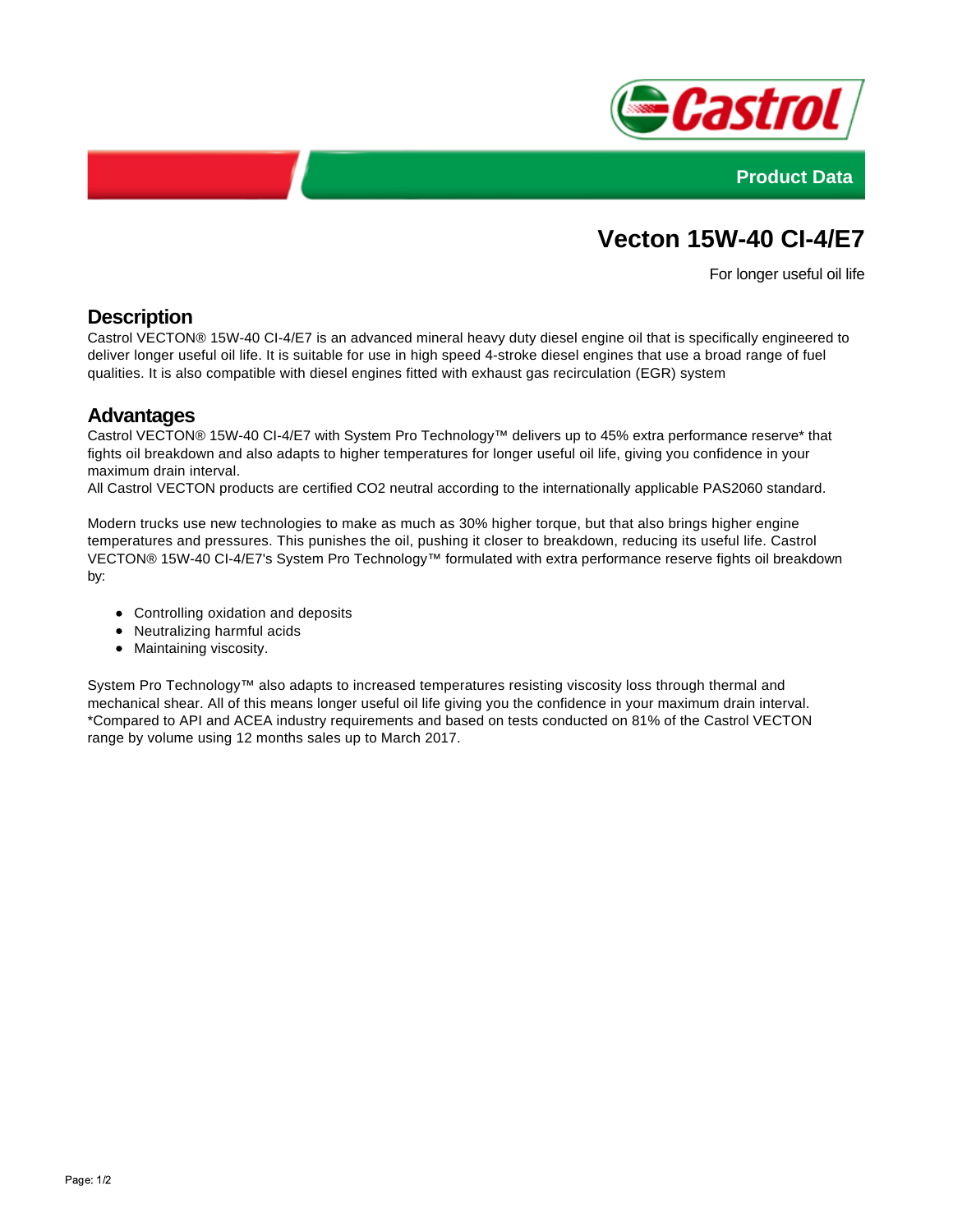



# **Vecton 15W-40 CI-4/E7**

For longer useful oil life

## **Description**

Castrol VECTON® 15W-40 CI-4/E7 is an advanced mineral heavy duty diesel engine oil that is specifically engineered to deliver longer useful oil life. It is suitable for use in high speed 4-stroke diesel engines that use a broad range of fuel qualities. It is also compatible with diesel engines fitted with exhaust gas recirculation (EGR) system

### **Advantages**

Castrol VECTON® 15W-40 CI-4/E7 with System Pro Technology™ delivers up to 45% extra performance reserve\* that fights oil breakdown and also adapts to higher temperatures for longer useful oil life, giving you confidence in your maximum drain interval.

All Castrol VECTON products are certified CO2 neutral according to the internationally applicable PAS2060 standard.

Modern trucks use new technologies to make as much as 30% higher torque, but that also brings higher engine temperatures and pressures. This punishes the oil, pushing it closer to breakdown, reducing its useful life. Castrol VECTON® 15W-40 CI-4/E7's System Pro Technology™ formulated with extra performance reserve fights oil breakdown by:

- Controlling oxidation and deposits
- Neutralizing harmful acids
- Maintaining viscosity.

System Pro Technology™ also adapts to increased temperatures resisting viscosity loss through thermal and mechanical shear. All of this means longer useful oil life giving you the confidence in your maximum drain interval. \*Compared to API and ACEA industry requirements and based on tests conducted on 81% of the Castrol VECTON range by volume using 12 months sales up to March 2017.